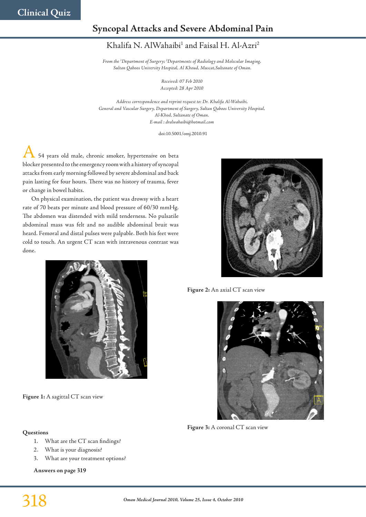# **Syncopal Attacks and Severe Abdominal Pain**

## Khalifa N. AlWahaibi<sup>1</sup> and Faisal H. Al-Azri<sup>2</sup>

*From the 1 Department of Surgery; 2 Departments of Radiology and Molecular Imaging, Sultan Qaboos University Hospital, Al Khoud, Muscat,Sultanate of Oman.*

> *Received: 07 Feb 2010 Accepted: 28 Apr 2010*

*Address correspondence and reprint request to: Dr. Khalifa Al-Wahaibi, General and Vascular Surgery, Department of Surgery, Sultan Qaboos University Hospital, Al-Khod, Sultanate of Oman. E-mail : dralwahaibi@hotmail.com*

doi:10.5001/omj.2010.91

54 years old male, chronic smoker, hypertensive on beta blocker presented to the emergency room with a history of syncopal attacks from early morning followed by severe abdominal and back pain lasting for four hours. There was no history of trauma, fever or change in bowel habits.

On physical examination, the patient was drowsy with a heart rate of 70 beats per minute and blood pressure of 60/30 mmHg. The abdomen was distended with mild tenderness. No pulsatile abdominal mass was felt and no audible abdominal bruit was heard. Femoral and distal pulses were palpable. Both his feet were cold to touch. An urgent CT scan with intravenous contrast was done.



**Figure 1:** A sagittal CT scan view

## **Questions**

- 1. What are the CT scan findings?
- 2. What is your diagnosis?
- 3. What are your treatment options?

**Answers on page 319**



**Figure 2:** An axial CT scan view



**Figure 3:** A coronal CT scan view